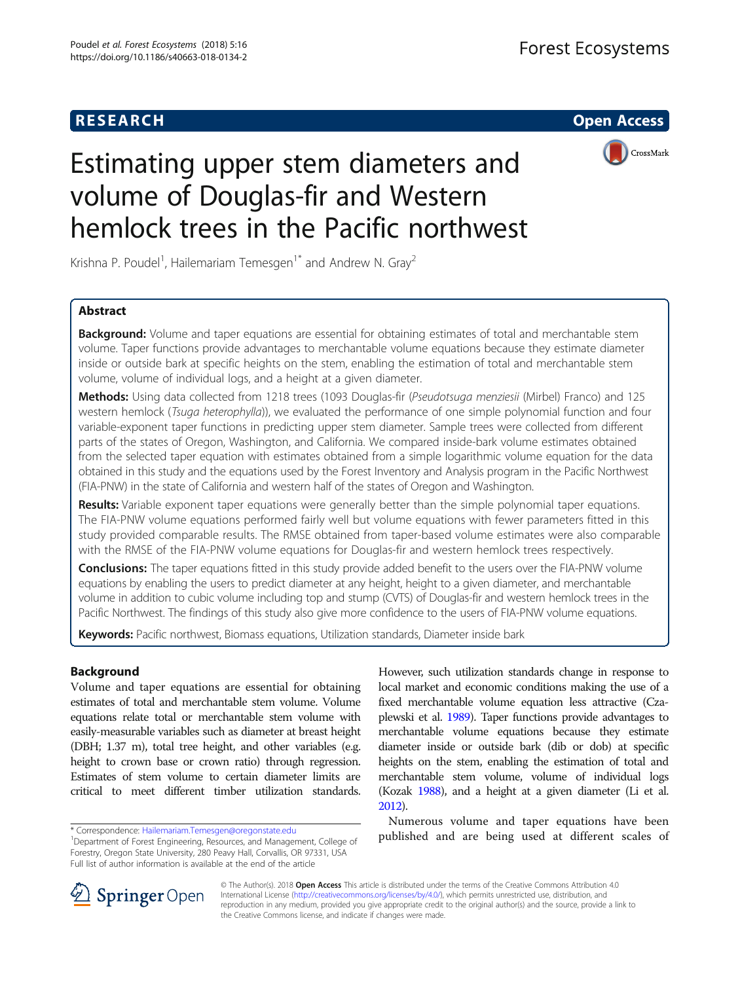<span id="page-0-0"></span>**RESEARCH CHILD CONTROL** CONTROL CONTROL CONTROL CONTROL CONTROL CONTROL CONTROL CONTROL CONTROL CONTROL CONTROL



# Estimating upper stem diameters and volume of Douglas-fir and Western hemlock trees in the Pacific northwest

Krishna P. Poudel<sup>1</sup>, Hailemariam Temesgen<sup>1\*</sup> and Andrew N. Gray<sup>2</sup>

## Abstract

**Background:** Volume and taper equations are essential for obtaining estimates of total and merchantable stem volume. Taper functions provide advantages to merchantable volume equations because they estimate diameter inside or outside bark at specific heights on the stem, enabling the estimation of total and merchantable stem volume, volume of individual logs, and a height at a given diameter.

Methods: Using data collected from 1218 trees (1093 Douglas-fir (Pseudotsuga menziesii (Mirbel) Franco) and 125 western hemlock (Tsuga heterophylla)), we evaluated the performance of one simple polynomial function and four variable-exponent taper functions in predicting upper stem diameter. Sample trees were collected from different parts of the states of Oregon, Washington, and California. We compared inside-bark volume estimates obtained from the selected taper equation with estimates obtained from a simple logarithmic volume equation for the data obtained in this study and the equations used by the Forest Inventory and Analysis program in the Pacific Northwest (FIA-PNW) in the state of California and western half of the states of Oregon and Washington.

Results: Variable exponent taper equations were generally better than the simple polynomial taper equations. The FIA-PNW volume equations performed fairly well but volume equations with fewer parameters fitted in this study provided comparable results. The RMSE obtained from taper-based volume estimates were also comparable with the RMSE of the FIA-PNW volume equations for Douglas-fir and western hemlock trees respectively.

Conclusions: The taper equations fitted in this study provide added benefit to the users over the FIA-PNW volume equations by enabling the users to predict diameter at any height, height to a given diameter, and merchantable volume in addition to cubic volume including top and stump (CVTS) of Douglas-fir and western hemlock trees in the Pacific Northwest. The findings of this study also give more confidence to the users of FIA-PNW volume equations.

Keywords: Pacific northwest, Biomass equations, Utilization standards, Diameter inside bark

## Background

Volume and taper equations are essential for obtaining estimates of total and merchantable stem volume. Volume equations relate total or merchantable stem volume with easily-measurable variables such as diameter at breast height (DBH; 1.37 m), total tree height, and other variables (e.g. height to crown base or crown ratio) through regression. Estimates of stem volume to certain diameter limits are critical to meet different timber utilization standards.

However, such utilization standards change in response to local market and economic conditions making the use of a fixed merchantable volume equation less attractive (Czaplewski et al. [1989](#page-11-0)). Taper functions provide advantages to merchantable volume equations because they estimate diameter inside or outside bark (dib or dob) at specific heights on the stem, enabling the estimation of total and merchantable stem volume, volume of individual logs (Kozak [1988\)](#page-11-0), and a height at a given diameter (Li et al. [2012](#page-11-0)).

Numerous volume and taper equations have been \* Correspondence: [Hailemariam.Temesgen@oregonstate.edu](mailto:Hailemariam.Temesgen@oregonstate.edu)<br><sup>1</sup>Department of Farct Fragineering Recourses and Management College of **published and are being used at different scales of** 



© The Author(s). 2018 Open Access This article is distributed under the terms of the Creative Commons Attribution 4.0 International License ([http://creativecommons.org/licenses/by/4.0/\)](http://creativecommons.org/licenses/by/4.0/), which permits unrestricted use, distribution, and reproduction in any medium, provided you give appropriate credit to the original author(s) and the source, provide a link to the Creative Commons license, and indicate if changes were made.

<sup>&</sup>lt;sup>1</sup>Department of Forest Engineering, Resources, and Management, College of Forestry, Oregon State University, 280 Peavy Hall, Corvallis, OR 97331, USA Full list of author information is available at the end of the article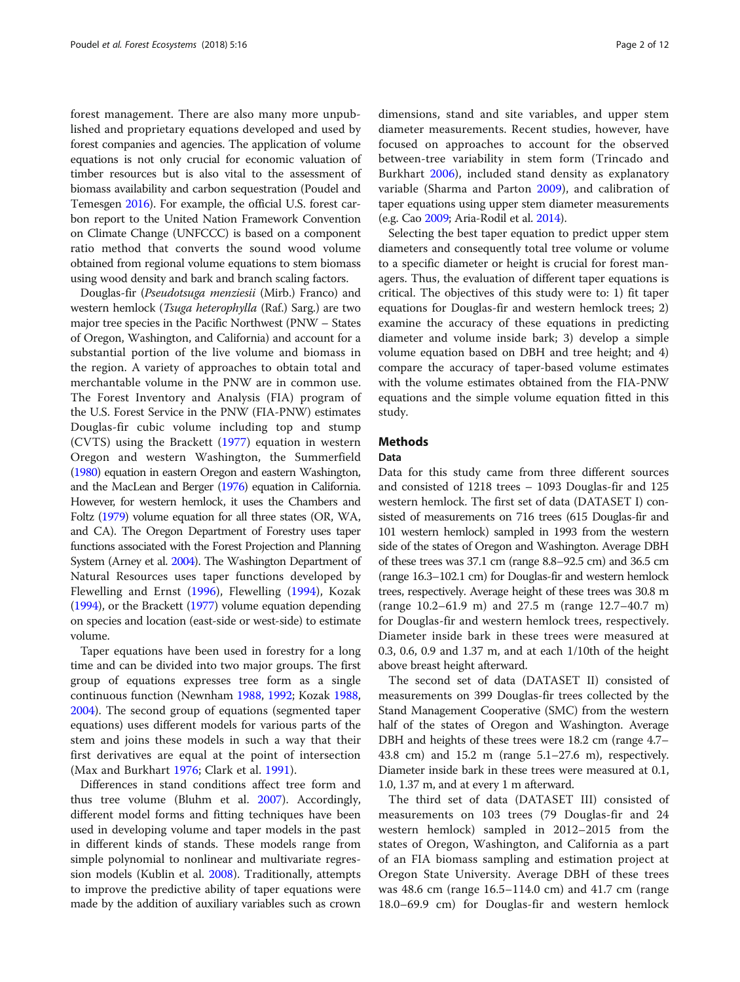forest management. There are also many more unpublished and proprietary equations developed and used by forest companies and agencies. The application of volume equations is not only crucial for economic valuation of timber resources but is also vital to the assessment of biomass availability and carbon sequestration (Poudel and Temesgen [2016](#page-11-0)). For example, the official U.S. forest carbon report to the United Nation Framework Convention on Climate Change (UNFCCC) is based on a component ratio method that converts the sound wood volume obtained from regional volume equations to stem biomass using wood density and bark and branch scaling factors.

Douglas-fir (Pseudotsuga menziesii (Mirb.) Franco) and western hemlock (Tsuga heterophylla (Raf.) Sarg.) are two major tree species in the Pacific Northwest (PNW – States of Oregon, Washington, and California) and account for a substantial portion of the live volume and biomass in the region. A variety of approaches to obtain total and merchantable volume in the PNW are in common use. The Forest Inventory and Analysis (FIA) program of the U.S. Forest Service in the PNW (FIA-PNW) estimates Douglas-fir cubic volume including top and stump (CVTS) using the Brackett ([1977\)](#page-11-0) equation in western Oregon and western Washington, the Summerfield ([1980](#page-11-0)) equation in eastern Oregon and eastern Washington, and the MacLean and Berger [\(1976\)](#page-11-0) equation in California. However, for western hemlock, it uses the Chambers and Foltz [\(1979\)](#page-11-0) volume equation for all three states (OR, WA, and CA). The Oregon Department of Forestry uses taper functions associated with the Forest Projection and Planning System (Arney et al. [2004\)](#page-11-0). The Washington Department of Natural Resources uses taper functions developed by Flewelling and Ernst ([1996\)](#page-11-0), Flewelling [\(1994](#page-11-0)), Kozak ([1994](#page-11-0)), or the Brackett [\(1977\)](#page-11-0) volume equation depending on species and location (east-side or west-side) to estimate volume.

Taper equations have been used in forestry for a long time and can be divided into two major groups. The first group of equations expresses tree form as a single continuous function (Newnham [1988](#page-11-0), [1992](#page-11-0); Kozak [1988](#page-11-0), [2004](#page-11-0)). The second group of equations (segmented taper equations) uses different models for various parts of the stem and joins these models in such a way that their first derivatives are equal at the point of intersection (Max and Burkhart [1976;](#page-11-0) Clark et al. [1991\)](#page-11-0).

Differences in stand conditions affect tree form and thus tree volume (Bluhm et al. [2007](#page-11-0)). Accordingly, different model forms and fitting techniques have been used in developing volume and taper models in the past in different kinds of stands. These models range from simple polynomial to nonlinear and multivariate regression models (Kublin et al. [2008\)](#page-11-0). Traditionally, attempts to improve the predictive ability of taper equations were made by the addition of auxiliary variables such as crown

dimensions, stand and site variables, and upper stem diameter measurements. Recent studies, however, have focused on approaches to account for the observed between-tree variability in stem form (Trincado and Burkhart [2006](#page-11-0)), included stand density as explanatory variable (Sharma and Parton [2009](#page-11-0)), and calibration of taper equations using upper stem diameter measurements (e.g. Cao [2009](#page-11-0); Aria-Rodil et al. [2014](#page-11-0)).

Selecting the best taper equation to predict upper stem diameters and consequently total tree volume or volume to a specific diameter or height is crucial for forest managers. Thus, the evaluation of different taper equations is critical. The objectives of this study were to: 1) fit taper equations for Douglas-fir and western hemlock trees; 2) examine the accuracy of these equations in predicting diameter and volume inside bark; 3) develop a simple volume equation based on DBH and tree height; and 4) compare the accuracy of taper-based volume estimates with the volume estimates obtained from the FIA-PNW equations and the simple volume equation fitted in this study.

## Methods

### Data

Data for this study came from three different sources and consisted of 1218 trees – 1093 Douglas-fir and 125 western hemlock. The first set of data (DATASET I) consisted of measurements on 716 trees (615 Douglas-fir and 101 western hemlock) sampled in 1993 from the western side of the states of Oregon and Washington. Average DBH of these trees was 37.1 cm (range 8.8–92.5 cm) and 36.5 cm (range 16.3–102.1 cm) for Douglas-fir and western hemlock trees, respectively. Average height of these trees was 30.8 m (range 10.2–61.9 m) and 27.5 m (range 12.7–40.7 m) for Douglas-fir and western hemlock trees, respectively. Diameter inside bark in these trees were measured at 0.3, 0.6, 0.9 and 1.37 m, and at each 1/10th of the height above breast height afterward.

The second set of data (DATASET II) consisted of measurements on 399 Douglas-fir trees collected by the Stand Management Cooperative (SMC) from the western half of the states of Oregon and Washington. Average DBH and heights of these trees were 18.2 cm (range 4.7– 43.8 cm) and 15.2 m (range 5.1–27.6 m), respectively. Diameter inside bark in these trees were measured at 0.1, 1.0, 1.37 m, and at every 1 m afterward.

The third set of data (DATASET III) consisted of measurements on 103 trees (79 Douglas-fir and 24 western hemlock) sampled in 2012–2015 from the states of Oregon, Washington, and California as a part of an FIA biomass sampling and estimation project at Oregon State University. Average DBH of these trees was 48.6 cm (range 16.5–114.0 cm) and 41.7 cm (range 18.0–69.9 cm) for Douglas-fir and western hemlock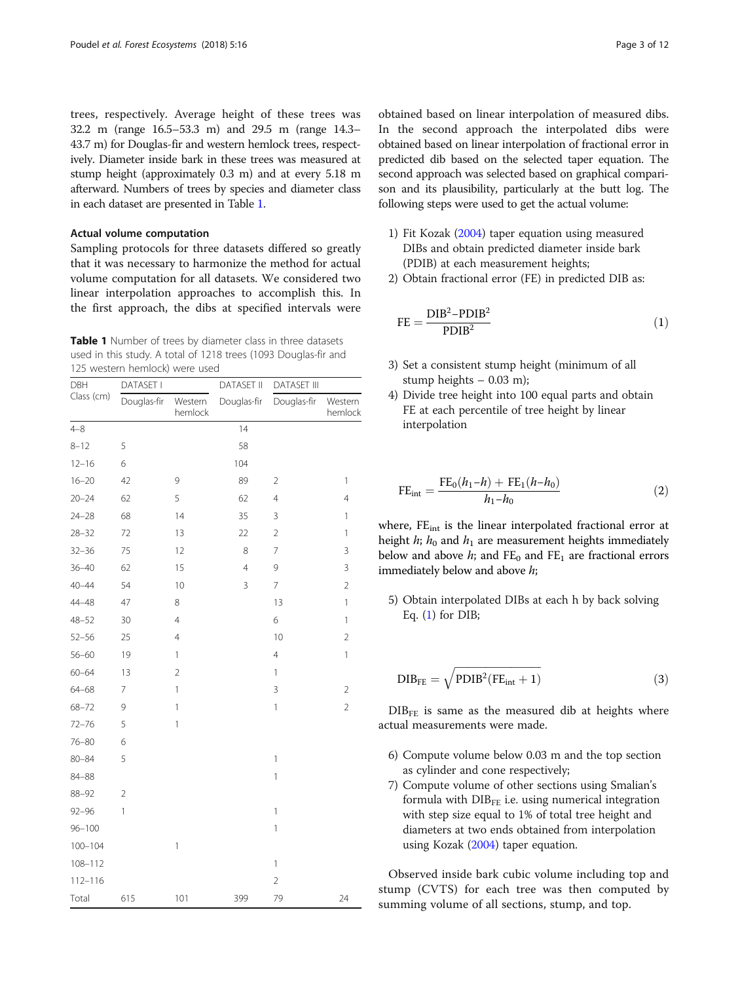trees, respectively. Average height of these trees was 32.2 m (range 16.5–53.3 m) and 29.5 m (range 14.3– 43.7 m) for Douglas-fir and western hemlock trees, respectively. Diameter inside bark in these trees was measured at stump height (approximately 0.3 m) and at every 5.18 m afterward. Numbers of trees by species and diameter class in each dataset are presented in Table 1.

## Actual volume computation

Sampling protocols for three datasets differed so greatly that it was necessary to harmonize the method for actual volume computation for all datasets. We considered two linear interpolation approaches to accomplish this. In the first approach, the dibs at specified intervals were

Table 1 Number of trees by diameter class in three datasets used in this study. A total of 1218 trees (1093 Douglas-fir and 125 western hemlock) were used

| DBH         | DATASET I      |                    | DATASET II     | <b>DATASET III</b> |                    |  |
|-------------|----------------|--------------------|----------------|--------------------|--------------------|--|
| Class (cm)  | Douglas-fir    | Western<br>hemlock |                | Douglas-fir        | Western<br>hemlock |  |
| $4 - 8$     |                |                    | 14             |                    |                    |  |
| $8 - 12$    | 5              |                    | 58             |                    |                    |  |
| $12 - 16$   | 6              |                    | 104            |                    |                    |  |
| $16 - 20$   | 42             | 9                  | 89             | $\overline{2}$     | $\mathbf{1}$       |  |
| $20 - 24$   | 62             | 5                  | 62             | $\overline{4}$     | $\overline{4}$     |  |
| $24 - 28$   | 68             | 14                 | 35             | 3                  | 1                  |  |
| $28 - 32$   | 72             | 13                 | 22             | $\overline{2}$     | $\mathbf{1}$       |  |
| $32 - 36$   | 75             | 12                 | 8              | $\overline{7}$     | 3                  |  |
| $36 - 40$   | 62             | 15                 | $\overline{4}$ | 9                  | 3                  |  |
| $40 - 44$   | 54             | 10                 | 3              | $\overline{7}$     | $\overline{2}$     |  |
| $44 - 48$   | 47             | 8                  |                | 13                 | $\mathbf{1}$       |  |
| $48 - 52$   | 30             | $\overline{4}$     |                | 6                  | $\mathbf{1}$       |  |
| $52 - 56$   | 25             | $\overline{4}$     |                | 10                 | $\overline{2}$     |  |
| $56 - 60$   | 19             | 1                  |                | $\overline{4}$     | $\mathbf{1}$       |  |
| $60 - 64$   | 13             | $\overline{2}$     |                | 1                  |                    |  |
| $64 - 68$   | 7              | $\mathbf{1}$       |                | 3                  | $\overline{2}$     |  |
| $68 - 72$   | 9              | 1                  |                | 1                  | $\overline{2}$     |  |
| $72 - 76$   | 5              | $\mathbf{1}$       |                |                    |                    |  |
| $76 - 80$   | 6              |                    |                |                    |                    |  |
| $80 - 84$   | 5              |                    |                | $\mathbf{1}$       |                    |  |
| $84 - 88$   |                |                    |                | 1                  |                    |  |
| 88-92       | $\overline{2}$ |                    |                |                    |                    |  |
| $92 - 96$   | 1              |                    |                | 1                  |                    |  |
| $96 - 100$  |                |                    |                | 1                  |                    |  |
| $100 - 104$ |                | $\mathbf{1}$       |                |                    |                    |  |
| $108 - 112$ |                |                    |                | 1                  |                    |  |
| $112 - 116$ |                |                    |                | $\overline{2}$     |                    |  |
| Total       | 615            | 101                | 399            | 79                 | 24                 |  |

obtained based on linear interpolation of measured dibs. In the second approach the interpolated dibs were obtained based on linear interpolation of fractional error in predicted dib based on the selected taper equation. The second approach was selected based on graphical comparison and its plausibility, particularly at the butt log. The following steps were used to get the actual volume:

- 1) Fit Kozak ([2004\)](#page-11-0) taper equation using measured DIBs and obtain predicted diameter inside bark (PDIB) at each measurement heights;
- 2) Obtain fractional error (FE) in predicted DIB as:

$$
FE = \frac{DIB^2 - PDIB^2}{PDIB^2}
$$
 (1)

- 3) Set a consistent stump height (minimum of all stump heights – 0.03 m);
- 4) Divide tree height into 100 equal parts and obtain FE at each percentile of tree height by linear interpolation

$$
FE_{int} = \frac{FE_0(h_1 - h) + FE_1(h - h_0)}{h_1 - h_0}
$$
 (2)

where,  $FE_{int}$  is the linear interpolated fractional error at height  $h$ ;  $h_0$  and  $h_1$  are measurement heights immediately below and above h; and  $FE_0$  and  $FE_1$  are fractional errors immediately below and above  $h$ ;

5) Obtain interpolated DIBs at each h by back solving Eq.  $(1)$  for DIB;

$$
DIB_{FE} = \sqrt{PDIB^2(FE_{int} + 1)}
$$
 (3)

 $DIB_{FE}$  is same as the measured dib at heights where actual measurements were made.

- 6) Compute volume below 0.03 m and the top section as cylinder and cone respectively;
- 7) Compute volume of other sections using Smalian's formula with  $DIB_{FE}$  i.e. using numerical integration with step size equal to 1% of total tree height and diameters at two ends obtained from interpolation using Kozak [\(2004\)](#page-11-0) taper equation.

Observed inside bark cubic volume including top and stump (CVTS) for each tree was then computed by summing volume of all sections, stump, and top.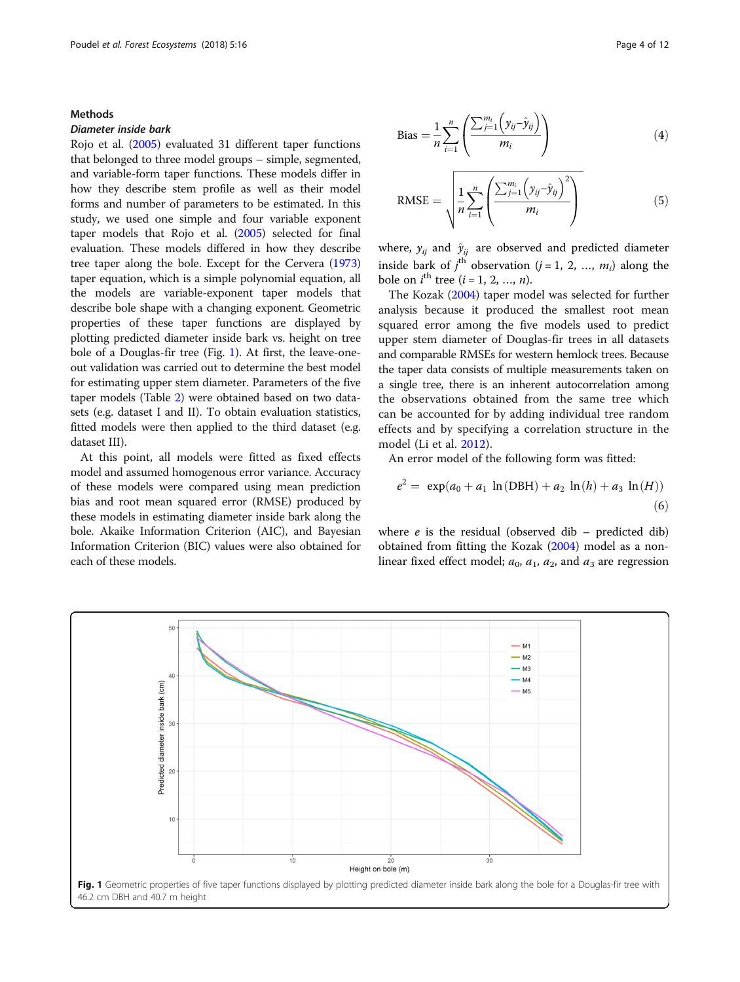## <span id="page-3-0"></span>Methods

## Diameter inside bark

Rojo et al. ([2005](#page-11-0)) evaluated 31 different taper functions that belonged to three model groups – simple, segmented, and variable-form taper functions. These models differ in how they describe stem profile as well as their model forms and number of parameters to be estimated. In this study, we used one simple and four variable exponent taper models that Rojo et al. ([2005\)](#page-11-0) selected for final evaluation. These models differed in how they describe tree taper along the bole. Except for the Cervera [\(1973](#page-11-0)) taper equation, which is a simple polynomial equation, all the models are variable-exponent taper models that describe bole shape with a changing exponent. Geometric properties of these taper functions are displayed by plotting predicted diameter inside bark vs. height on tree bole of a Douglas-fir tree (Fig. 1). At first, the leave-oneout validation was carried out to determine the best model for estimating upper stem diameter. Parameters of the five taper models (Table [2\)](#page-4-0) were obtained based on two datasets (e.g. dataset I and II). To obtain evaluation statistics, fitted models were then applied to the third dataset (e.g. dataset III).

At this point, all models were fitted as fixed effects model and assumed homogenous error variance. Accuracy of these models were compared using mean prediction bias and root mean squared error (RMSE) produced by these models in estimating diameter inside bark along the bole. Akaike Information Criterion (AIC), and Bayesian Information Criterion (BIC) values were also obtained for each of these models.

Bias = 
$$
\frac{1}{n} \sum_{i=1}^{n} \left( \frac{\sum_{j=1}^{m_i} \left( y_{ij} - \hat{y}_{ij} \right)}{m_i} \right)
$$
(4)

$$
RMSE = \sqrt{\frac{1}{n} \sum_{i=1}^{n} \left( \frac{\sum_{j=1}^{m_i} \left( y_{ij} - \hat{y}_{ij} \right)^2}{m_i} \right)}
$$
(5)

where,  $y_{ij}$  and  $\hat{y}_{ij}$  are observed and predicted diameter inside bark of  $j^{\text{th}}$  observation ( $j = 1, 2, ..., m_i$ ) along the bole on  $i^{\text{th}}$  tree  $(i = 1, 2, ..., n)$ .

The Kozak ([2004](#page-11-0)) taper model was selected for further analysis because it produced the smallest root mean squared error among the five models used to predict upper stem diameter of Douglas-fir trees in all datasets and comparable RMSEs for western hemlock trees. Because the taper data consists of multiple measurements taken on a single tree, there is an inherent autocorrelation among the observations obtained from the same tree which can be accounted for by adding individual tree random effects and by specifying a correlation structure in the model (Li et al. [2012](#page-11-0)).

An error model of the following form was fitted:

$$
e^{2} = \exp(a_{0} + a_{1} \ln(DBH) + a_{2} \ln(h) + a_{3} \ln(H))
$$
\n(6)

where  $e$  is the residual (observed dib – predicted dib) obtained from fitting the Kozak ([2004](#page-11-0)) model as a nonlinear fixed effect model;  $a_0$ ,  $a_1$ ,  $a_2$ , and  $a_3$  are regression

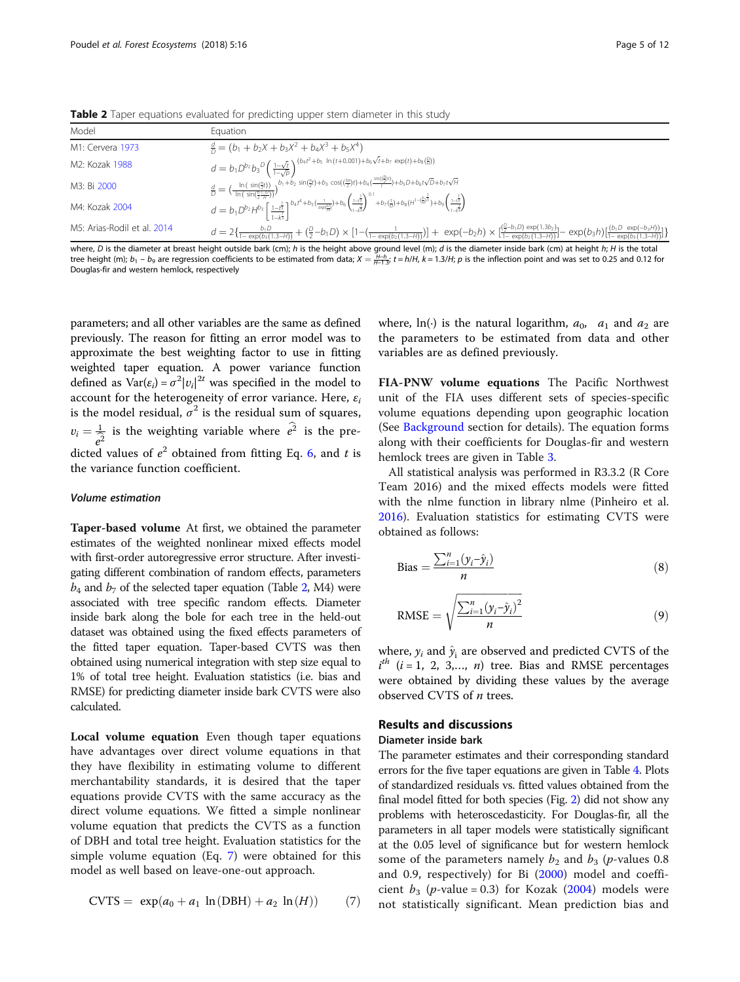<span id="page-4-0"></span>Table 2 Taper equations evaluated for predicting upper stem diameter in this study

| Model                       | Equation                                                                                                                                                                                                                                                                                                                                                                                                               |
|-----------------------------|------------------------------------------------------------------------------------------------------------------------------------------------------------------------------------------------------------------------------------------------------------------------------------------------------------------------------------------------------------------------------------------------------------------------|
| M1: Cervera 1973            | $\frac{d}{b} = (b_1 + b_2X + b_3X^2 + b_4X^3 + b_5X^4)$                                                                                                                                                                                                                                                                                                                                                                |
| M2: Kozak 1988              | $d = b_1 D^{b_2} b_3 D \left( \frac{1-\sqrt{t}}{1-\sqrt{p}} \right)^{(b_4 t^2 + b_5 \ln(t+0.001) + b_6 \sqrt{t} + b_7 \exp(t) + b_8(\frac{\ln t}{t})}$                                                                                                                                                                                                                                                                 |
| M3: Bi 2000                 | $\begin{array}{l} d = \frac{1}{\sqrt{2}} \int \frac{1-\sqrt{p}}{1-\sqrt{p}} \int \frac{1}{\sqrt{p}} e^{-\frac{1}{2}(\frac{p}{2}-\frac{p}{2})t} e^{-\frac{1}{2}(\frac{p}{2}-\frac{p}{2})t} \frac{1}{\sqrt{p}} e^{-\frac{1}{2}(\frac{p}{2}-\frac{p}{2})t} \frac{1}{\sqrt{p}} e^{-\frac{1}{2}(\frac{p}{2}-\frac{p}{2})t} \\ d = \frac{1}{2} \int \frac{1}{\sqrt{2}} e^{-\frac{1}{2}(\frac{p}{2}-\frac{p}{2})t} e^{-\frac$ |
| M4: Kozak 2004              |                                                                                                                                                                                                                                                                                                                                                                                                                        |
| M5: Arias-Rodil et al. 2014 | $d = 2\left\{\frac{b_1D}{1-\exp(b_2(1,3-\mu))}+\left(\frac{D}{2}-b_1D\right)\times\left[1-\left(\frac{1}{1-\exp(b_2(1,3-\mu))}\right)\right]+\exp(-b_2h)\times\left[\frac{\left(\frac{D}{2}-b_1D\right)\exp(1,3b_2)}{1-\exp(b_2(1,3-\mu))}\right]-\exp(b_3h)\left[\frac{\left(b_1D-\exp(-b_2h)\right)\exp(1,3b_2)}{1-\exp(b_2(1,3-\mu))}\right]\right\}$                                                               |
|                             | where, D is the diameter at breast height outside bark (cm); h is the height above ground level (m); d is the diameter inside bark (cm) at height h; H is the total                                                                                                                                                                                                                                                    |

tree height (m);  $b_1$  –  $b_9$  are regression coefficients to be estimated from data;  $X = \frac{H-h}{H-1.3}$ ; t = h/H, k = 1.3/H; p is the inflection point and was set to 0.25 and 0.12 for<br>Douglas-fir and western bemlock respec Douglas-fir and western hemlock, respectively

parameters; and all other variables are the same as defined previously. The reason for fitting an error model was to approximate the best weighting factor to use in fitting weighted taper equation. A power variance function defined as  $Var(\varepsilon_i) = \sigma^2 |v_i|^{2t}$  was specified in the model to account for the heterogeneity of error variance. Here,  $\varepsilon_i$ is the model residual,  $\sigma^2$  is the residual sum of squares,  $v_i = \frac{1}{e^2}$  is the weighting variable where  $e^2$  is the pre-<br>dicted values of  $e^2$  obtained from fitting Eq. 6, and t is dicted values of  $e^2$  obtained from fitting Eq. [6](#page-3-0), and t is the variance function coefficient.

#### Volume estimation

Taper-based volume At first, we obtained the parameter estimates of the weighted nonlinear mixed effects model with first-order autoregressive error structure. After investigating different combination of random effects, parameters  $b_4$  and  $b_7$  of the selected taper equation (Table 2, M4) were associated with tree specific random effects. Diameter inside bark along the bole for each tree in the held-out dataset was obtained using the fixed effects parameters of the fitted taper equation. Taper-based CVTS was then obtained using numerical integration with step size equal to 1% of total tree height. Evaluation statistics (i.e. bias and RMSE) for predicting diameter inside bark CVTS were also calculated.

Local volume equation Even though taper equations have advantages over direct volume equations in that they have flexibility in estimating volume to different merchantability standards, it is desired that the taper equations provide CVTS with the same accuracy as the direct volume equations. We fitted a simple nonlinear volume equation that predicts the CVTS as a function of DBH and total tree height. Evaluation statistics for the simple volume equation (Eq. 7) were obtained for this model as well based on leave-one-out approach.

$$
CVTS = \exp(a_0 + a_1 \ln(DBH) + a_2 \ln(H)) \tag{7}
$$

where,  $ln(·)$  is the natural logarithm,  $a_0$ ,  $a_1$  and  $a_2$  are the parameters to be estimated from data and other variables are as defined previously.

FIA-PNW volume equations The Pacific Northwest unit of the FIA uses different sets of species-specific volume equations depending upon geographic location (See [Background](#page-0-0) section for details). The equation forms along with their coefficients for Douglas-fir and western hemlock trees are given in Table [3.](#page-5-0)

All statistical analysis was performed in R3.3.2 (R Core Team 2016) and the mixed effects models were fitted with the nlme function in library nlme (Pinheiro et al. [2016](#page-11-0)). Evaluation statistics for estimating CVTS were obtained as follows:

$$
\text{Bias} = \frac{\sum_{i=1}^{n} (y_i - \hat{y}_i)}{n} \tag{8}
$$

$$
RMSE = \sqrt{\frac{\sum_{i=1}^{n} (y_i - \hat{y}_i)^2}{n}}
$$
(9)

where,  $y_i$  and  $\hat{y}_i$  are observed and predicted CVTS of the  $i^{th}$  ( $i = 1, 2, 3,..., n$ ) tree. Bias and RMSE percentages were obtained by dividing these values by the average observed CVTS of n trees.

## Results and discussions

### Diameter inside bark

The parameter estimates and their corresponding standard errors for the five taper equations are given in Table [4.](#page-5-0) Plots of standardized residuals vs. fitted values obtained from the final model fitted for both species (Fig. [2](#page-6-0)) did not show any problems with heteroscedasticity. For Douglas-fir, all the parameters in all taper models were statistically significant at the 0.05 level of significance but for western hemlock some of the parameters namely  $b_2$  and  $b_3$  (*p*-values 0.8 and 0.9, respectively) for Bi ([2000\)](#page-11-0) model and coefficient  $b_3$  (*p*-value = 0.3) for Kozak ([2004\)](#page-11-0) models were not statistically significant. Mean prediction bias and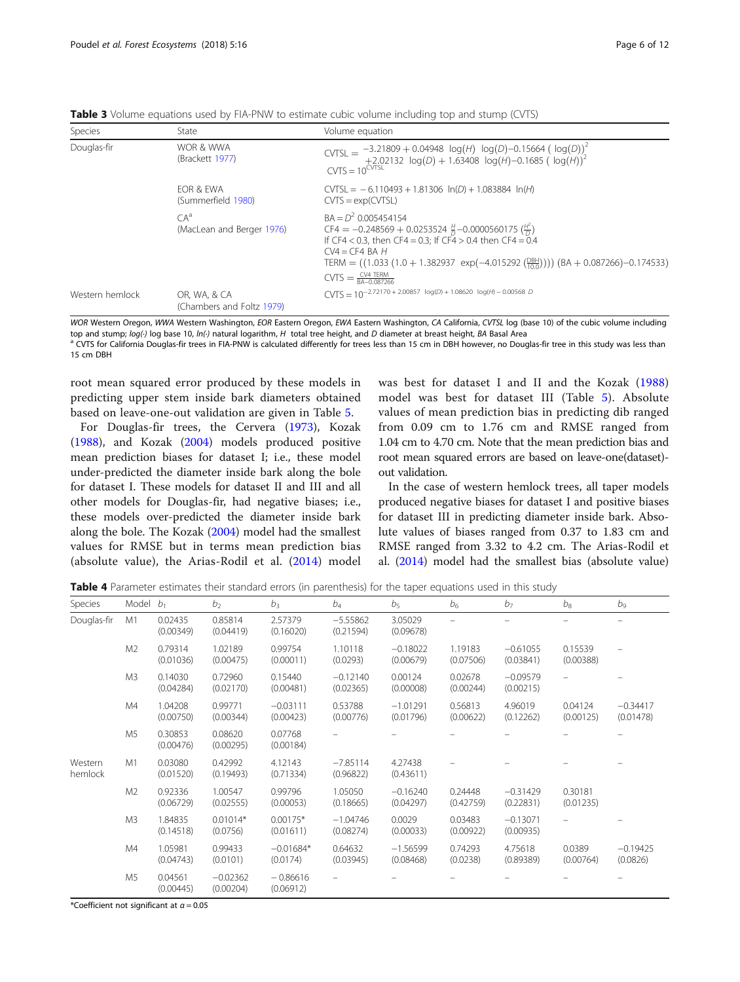<span id="page-5-0"></span>

|  | Table 3 Volume equations used by FIA-PNW to estimate cubic volume including top and stump (CVTS) |  |  |
|--|--------------------------------------------------------------------------------------------------|--|--|
|--|--------------------------------------------------------------------------------------------------|--|--|

| Species         | State                                      | Volume equation                                                                                                                                                                                                                                                                                                                                    |
|-----------------|--------------------------------------------|----------------------------------------------------------------------------------------------------------------------------------------------------------------------------------------------------------------------------------------------------------------------------------------------------------------------------------------------------|
| Douglas-fir     | WOR & WWA<br>(Brackett 1977)               | CVTSL = $\frac{-3.21809 + 0.04948 \log(H) \log(D) - 0.15664 (\log(D))^2}{+2.02132 \log(D) + 1.63408 \log(H) - 0.1685 (\log(H))^2}$<br>CVTS = 10 <sup>CVTSL</sup>                                                                                                                                                                                   |
|                 | <b>FOR &amp; FWA</b><br>(Summerfield 1980) | $CVTSL = -6.110493 + 1.81306 \ln(D) + 1.083884 \ln(H)$<br>$CVTS = exp(CVTSL)$                                                                                                                                                                                                                                                                      |
|                 | $CA^a$<br>(MacLean and Berger 1976)        | $BA = D2$ 0.005454154<br>CF4 = $-0.248569 + 0.0253524 \frac{H}{D} - 0.0000560175 \left(\frac{H^2}{D}\right)$<br>If CF4 < 0.3, then CF4 = 0.3; If CF4 > 0.4 then CF4 = 0.4<br>$CV4 = CF4 BA H$<br>TERM = $((1.033 (1.0 + 1.382937 \exp(-4.015292 \frac{DBH}{10.0}))))$ (BA + 0.087266)-0.174533)<br>$CVTS = \frac{CV4 \text{ TERM}}{BA - 0.087266}$ |
| Western hemlock | OR, WA, & CA<br>(Chambers and Foltz 1979)  | $CVTS = 10^{-2.72170 + 2.00857}$ log(D) + 1.08620 log(H) - 0.00568 D                                                                                                                                                                                                                                                                               |

WOR Western Oregon, WWA Western Washington, EOR Eastern Oregon, EWA Eastern Washington, CA California, CVTSL log (base 10) of the cubic volume including top and stump;  $log(\cdot)$  log base 10,  $ln(\cdot)$  natural logarithm, H total tree height, and D diameter at breast height, BA Basal Area<br><sup>a</sup> CVTS for California Douglas-fir trees in FIA-PNW is calculated differently for trees les

15 cm DBH

root mean squared error produced by these models in predicting upper stem inside bark diameters obtained based on leave-one-out validation are given in Table [5.](#page-6-0)

For Douglas-fir trees, the Cervera ([1973](#page-11-0)), Kozak ([1988](#page-11-0)), and Kozak ([2004](#page-11-0)) models produced positive mean prediction biases for dataset I; i.e., these model under-predicted the diameter inside bark along the bole for dataset I. These models for dataset II and III and all other models for Douglas-fir, had negative biases; i.e., these models over-predicted the diameter inside bark along the bole. The Kozak [\(2004\)](#page-11-0) model had the smallest values for RMSE but in terms mean prediction bias (absolute value), the Arias-Rodil et al. ([2014](#page-11-0)) model

was best for dataset I and II and the Kozak [\(1988](#page-11-0)) model was best for dataset III (Table [5](#page-6-0)). Absolute values of mean prediction bias in predicting dib ranged from 0.09 cm to 1.76 cm and RMSE ranged from 1.04 cm to 4.70 cm. Note that the mean prediction bias and root mean squared errors are based on leave-one(dataset) out validation.

In the case of western hemlock trees, all taper models produced negative biases for dataset I and positive biases for dataset III in predicting diameter inside bark. Absolute values of biases ranged from 0.37 to 1.83 cm and RMSE ranged from 3.32 to 4.2 cm. The Arias-Rodil et al. [\(2014](#page-11-0)) model had the smallest bias (absolute value)

Table 4 Parameter estimates their standard errors (in parenthesis) for the taper equations used in this study

| Species            | Model          | b <sub>1</sub>       | b <sub>2</sub>          | b <sub>3</sub>          | $b_4$                   | b <sub>5</sub>          | b <sub>6</sub>       | b <sub>7</sub>          | $b_8$                | $b_{9}$                 |
|--------------------|----------------|----------------------|-------------------------|-------------------------|-------------------------|-------------------------|----------------------|-------------------------|----------------------|-------------------------|
| Douglas-fir        | M1             | 0.02435<br>(0.00349) | 0.85814<br>(0.04419)    | 2.57379<br>(0.16020)    | $-5.55862$<br>(0.21594) | 3.05029<br>(0.09678)    | $\equiv$             |                         |                      |                         |
|                    | M <sub>2</sub> | 0.79314<br>(0.01036) | 1.02189<br>(0.00475)    | 0.99754<br>(0.00011)    | 1.10118<br>(0.0293)     | $-0.18022$<br>(0.00679) | 1.19183<br>(0.07506) | $-0.61055$<br>(0.03841) | 0.15539<br>(0.00388) |                         |
|                    | M <sub>3</sub> | 0.14030<br>(0.04284) | 0.72960<br>(0.02170)    | 0.15440<br>(0.00481)    | $-0.12140$<br>(0.02365) | 0.00124<br>(0.00008)    | 0.02678<br>(0.00244) | $-0.09579$<br>(0.00215) | $\equiv$             |                         |
|                    | M4             | 1.04208<br>(0.00750) | 0.99771<br>(0.00344)    | $-0.03111$<br>(0.00423) | 0.53788<br>(0.00776)    | $-1.01291$<br>(0.01796) | 0.56813<br>(0.00622) | 4.96019<br>(0.12262)    | 0.04124<br>(0.00125) | $-0.34417$<br>(0.01478) |
|                    | M5             | 0.30853<br>(0.00476) | 0.08620<br>(0.00295)    | 0.07768<br>(0.00184)    |                         |                         |                      |                         |                      |                         |
| Western<br>hemlock | M1             | 0.03080<br>(0.01520) | 0.42992<br>(0.19493)    | 4.12143<br>(0.71334)    | $-7.85114$<br>(0.96822) | 4.27438<br>(0.43611)    |                      |                         |                      |                         |
|                    | M <sub>2</sub> | 0.92336<br>(0.06729) | 1.00547<br>(0.02555)    | 0.99796<br>(0.00053)    | 1.05050<br>(0.18665)    | $-0.16240$<br>(0.04297) | 0.24448<br>(0.42759) | $-0.31429$<br>(0.22831) | 0.30181<br>(0.01235) |                         |
|                    | M3             | 1.84835<br>(0.14518) | $0.01014*$<br>(0.0756)  | $0.00175*$<br>(0.01611) | $-1.04746$<br>(0.08274) | 0.0029<br>(0.00033)     | 0.03483<br>(0.00922) | $-0.13071$<br>(0.00935) |                      |                         |
|                    | M4             | 1.05981<br>(0.04743) | 0.99433<br>(0.0101)     | $-0.01684*$<br>(0.0174) | 0.64632<br>(0.03945)    | $-1.56599$<br>(0.08468) | 0.74293<br>(0.0238)  | 4.75618<br>(0.89389)    | 0.0389<br>(0.00764)  | $-0.19425$<br>(0.0826)  |
|                    | M5             | 0.04561<br>(0.00445) | $-0.02362$<br>(0.00204) | $-0.86616$<br>(0.06912) |                         |                         |                      |                         |                      |                         |

\*Coefficient not significant at  $\alpha$  = 0.05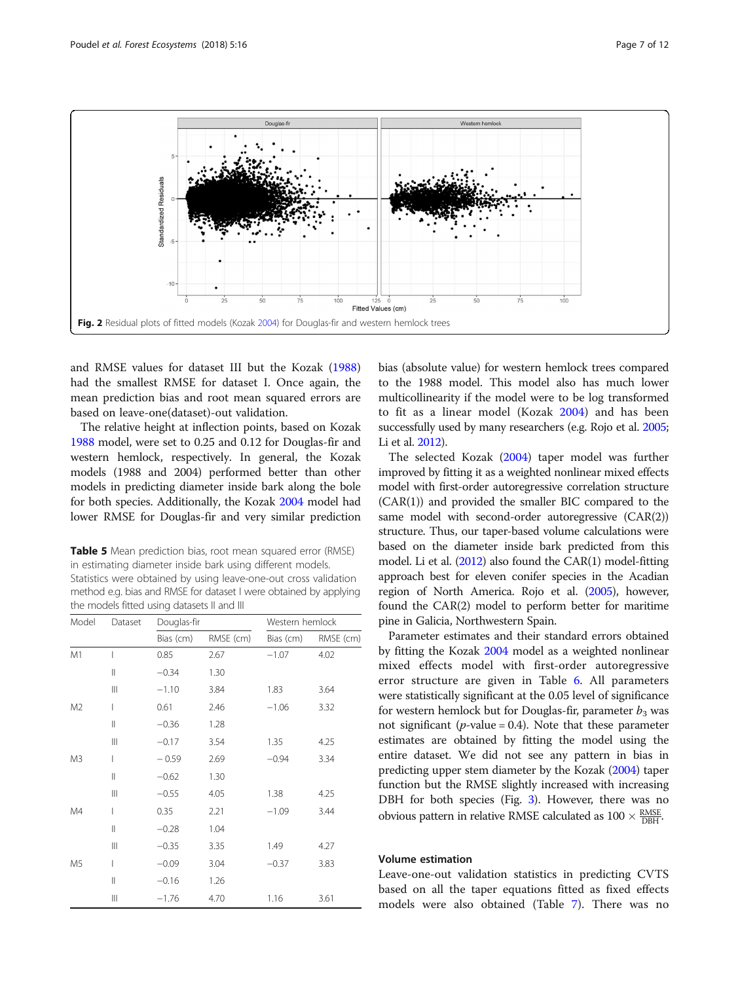<span id="page-6-0"></span>

and RMSE values for dataset III but the Kozak ([1988](#page-11-0)) had the smallest RMSE for dataset I. Once again, the mean prediction bias and root mean squared errors are based on leave-one(dataset)-out validation.

The relative height at inflection points, based on Kozak [1988](#page-11-0) model, were set to 0.25 and 0.12 for Douglas-fir and western hemlock, respectively. In general, the Kozak models (1988 and 2004) performed better than other models in predicting diameter inside bark along the bole for both species. Additionally, the Kozak [2004](#page-11-0) model had lower RMSE for Douglas-fir and very similar prediction

Table 5 Mean prediction bias, root mean squared error (RMSE) in estimating diameter inside bark using different models. Statistics were obtained by using leave-one-out cross validation method e.g. bias and RMSE for dataset I were obtained by applying the models fitted using datasets II and III

| Model          | Dataset               | Douglas-fir |           |           | Western hemlock |  |
|----------------|-----------------------|-------------|-----------|-----------|-----------------|--|
|                |                       | Bias (cm)   | RMSE (cm) | Bias (cm) | RMSE (cm)       |  |
| M1             | ı                     | 0.85        | 2.67      | $-1.07$   | 4.02            |  |
|                | $\mathsf{I}$          | $-0.34$     | 1.30      |           |                 |  |
|                | $\parallel$           | $-1.10$     | 3.84      | 1.83      | 3.64            |  |
| M <sub>2</sub> | I                     | 0.61        | 2.46      | $-1.06$   | 3.32            |  |
|                | $\mathsf{II}$         | $-0.36$     | 1.28      |           |                 |  |
|                | $\mathbb{H}$          | $-0.17$     | 3.54      | 1.35      | 4.25            |  |
| M3             | I                     | $-0.59$     | 2.69      | $-0.94$   | 3.34            |  |
|                | $\mathsf{II}$         | $-0.62$     | 1.30      |           |                 |  |
|                | Ш                     | $-0.55$     | 4.05      | 1.38      | 4.25            |  |
| M4             | I                     | 0.35        | 2.21      | $-1.09$   | 3.44            |  |
|                | $\mathsf{II}$         | $-0.28$     | 1.04      |           |                 |  |
|                | $\parallel \parallel$ | $-0.35$     | 3.35      | 1.49      | 4.27            |  |
| M5             | I                     | $-0.09$     | 3.04      | $-0.37$   | 3.83            |  |
|                | $\mathbf{I}$          | $-0.16$     | 1.26      |           |                 |  |
|                | $\parallel$           | $-1.76$     | 4.70      | 1.16      | 3.61            |  |

bias (absolute value) for western hemlock trees compared to the 1988 model. This model also has much lower multicollinearity if the model were to be log transformed to fit as a linear model (Kozak [2004\)](#page-11-0) and has been successfully used by many researchers (e.g. Rojo et al. [2005](#page-11-0); Li et al. [2012](#page-11-0)).

The selected Kozak [\(2004\)](#page-11-0) taper model was further improved by fitting it as a weighted nonlinear mixed effects model with first-order autoregressive correlation structure (CAR(1)) and provided the smaller BIC compared to the same model with second-order autoregressive (CAR(2)) structure. Thus, our taper-based volume calculations were based on the diameter inside bark predicted from this model. Li et al. [\(2012\)](#page-11-0) also found the CAR(1) model-fitting approach best for eleven conifer species in the Acadian region of North America. Rojo et al. [\(2005](#page-11-0)), however, found the CAR(2) model to perform better for maritime pine in Galicia, Northwestern Spain.

Parameter estimates and their standard errors obtained by fitting the Kozak [2004](#page-11-0) model as a weighted nonlinear mixed effects model with first-order autoregressive error structure are given in Table [6.](#page-7-0) All parameters were statistically significant at the 0.05 level of significance for western hemlock but for Douglas-fir, parameter  $b_3$  was not significant ( $p$ -value = 0.4). Note that these parameter estimates are obtained by fitting the model using the entire dataset. We did not see any pattern in bias in predicting upper stem diameter by the Kozak ([2004](#page-11-0)) taper function but the RMSE slightly increased with increasing DBH for both species (Fig. [3](#page-7-0)). However, there was no obvious pattern in relative RMSE calculated as  $100 \times \frac{\text{RMSE}}{\text{DBH}}$ .

## Volume estimation

Leave-one-out validation statistics in predicting CVTS based on all the taper equations fitted as fixed effects models were also obtained (Table [7](#page-8-0)). There was no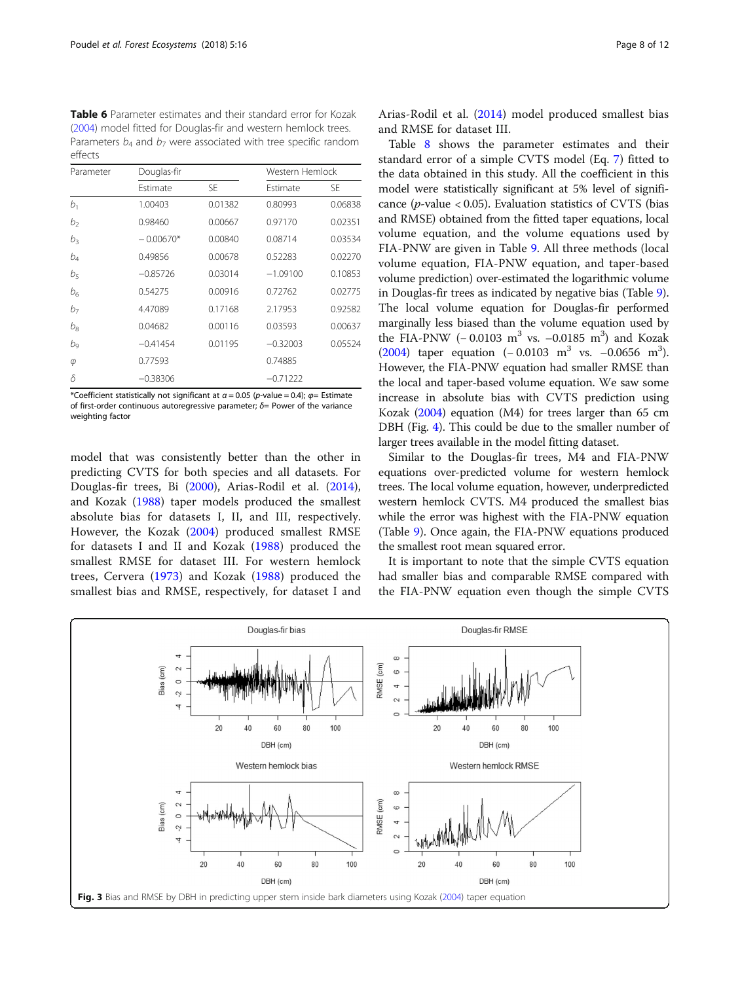<span id="page-7-0"></span>Table 6 Parameter estimates and their standard error for Kozak [\(2004](#page-11-0)) model fitted for Douglas-fir and western hemlock trees. Parameters  $b_4$  and  $b_7$  were associated with tree specific random

| effects        |             |           |            |                 |  |  |  |  |
|----------------|-------------|-----------|------------|-----------------|--|--|--|--|
| Parameter      | Douglas-fir |           |            | Western Hemlock |  |  |  |  |
|                | Estimate    | <b>SE</b> | Estimate   | <b>SE</b>       |  |  |  |  |
| b <sub>1</sub> | 1.00403     | 0.01382   | 0.80993    | 0.06838         |  |  |  |  |
| b <sub>2</sub> | 0.98460     | 0.00667   | 0.97170    | 0.02351         |  |  |  |  |
| $b_3$          | $-0.00670*$ | 0.00840   | 0.08714    | 0.03534         |  |  |  |  |
| b <sub>4</sub> | 0.49856     | 0.00678   | 0.52283    | 0.02270         |  |  |  |  |
| b <sub>5</sub> | $-0.85726$  | 0.03014   | $-1.09100$ | 0.10853         |  |  |  |  |
| $b_6$          | 0.54275     | 0.00916   | 0.72762    | 0.02775         |  |  |  |  |
| b7             | 4.47089     | 0.17168   | 2.17953    | 0.92582         |  |  |  |  |
| $b_8$          | 0.04682     | 0.00116   | 0.03593    | 0.00637         |  |  |  |  |
| bg             | $-0.41454$  | 0.01195   | $-0.32003$ | 0.05524         |  |  |  |  |
| $\varphi$      | 0.77593     |           | 0.74885    |                 |  |  |  |  |
| δ              | $-0.38306$  |           | $-0.71222$ |                 |  |  |  |  |
| $\sim$ $\sim$  |             |           |            | $-1$            |  |  |  |  |

\*Coefficient statistically not significant at  $\alpha$  = 0.05 (p-value = 0.4);  $\varphi$ = Estimate of first-order continuous autoregressive parameter;  $\delta$ = Power of the variance weighting factor

model that was consistently better than the other in predicting CVTS for both species and all datasets. For Douglas-fir trees, Bi [\(2000\)](#page-11-0), Arias-Rodil et al. ([2014](#page-11-0)), and Kozak ([1988](#page-11-0)) taper models produced the smallest absolute bias for datasets I, II, and III, respectively. However, the Kozak ([2004](#page-11-0)) produced smallest RMSE for datasets I and II and Kozak [\(1988](#page-11-0)) produced the smallest RMSE for dataset III. For western hemlock trees, Cervera [\(1973](#page-11-0)) and Kozak ([1988\)](#page-11-0) produced the smallest bias and RMSE, respectively, for dataset I and

Arias-Rodil et al. ([2014\)](#page-11-0) model produced smallest bias and RMSE for dataset III.

Table [8](#page-8-0) shows the parameter estimates and their standard error of a simple CVTS model (Eq. [7\)](#page-4-0) fitted to the data obtained in this study. All the coefficient in this model were statistically significant at 5% level of significance ( $p$ -value < 0.05). Evaluation statistics of CVTS (bias and RMSE) obtained from the fitted taper equations, local volume equation, and the volume equations used by FIA-PNW are given in Table [9](#page-8-0). All three methods (local volume equation, FIA-PNW equation, and taper-based volume prediction) over-estimated the logarithmic volume in Douglas-fir trees as indicated by negative bias (Table [9](#page-8-0)). The local volume equation for Douglas-fir performed marginally less biased than the volume equation used by the FIA-PNW  $(-0.0103 \text{ m}^3 \text{ vs. } -0.0185 \text{ m}^3)$  and Kozak ([2004](#page-11-0)) taper equation  $(-0.0103 \text{ m}^3 \text{ vs. } -0.0656 \text{ m}^3)$ . However, the FIA-PNW equation had smaller RMSE than the local and taper-based volume equation. We saw some increase in absolute bias with CVTS prediction using Kozak ([2004\)](#page-11-0) equation (M4) for trees larger than 65 cm DBH (Fig. [4](#page-9-0)). This could be due to the smaller number of larger trees available in the model fitting dataset.

Similar to the Douglas-fir trees, M4 and FIA-PNW equations over-predicted volume for western hemlock trees. The local volume equation, however, underpredicted western hemlock CVTS. M4 produced the smallest bias while the error was highest with the FIA-PNW equation (Table [9\)](#page-8-0). Once again, the FIA-PNW equations produced the smallest root mean squared error.

It is important to note that the simple CVTS equation had smaller bias and comparable RMSE compared with the FIA-PNW equation even though the simple CVTS

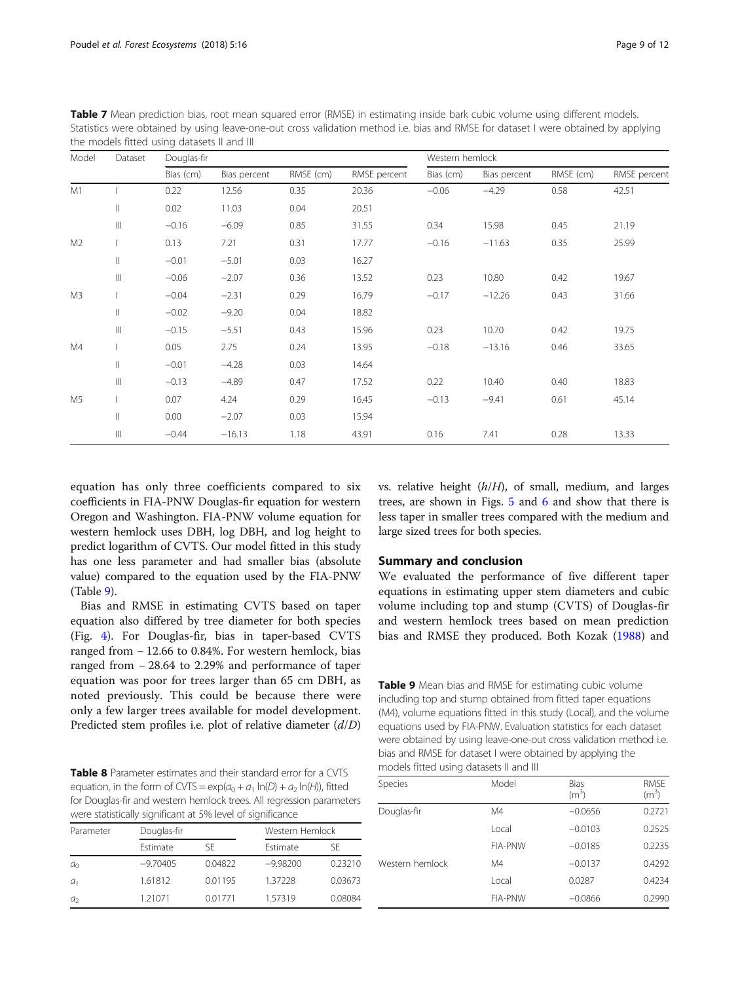| Model          | Dataset                               | Douglas-fir |              |           |              | Western hemlock |              |           |              |
|----------------|---------------------------------------|-------------|--------------|-----------|--------------|-----------------|--------------|-----------|--------------|
|                |                                       | Bias (cm)   | Bias percent | RMSE (cm) | RMSE percent | Bias (cm)       | Bias percent | RMSE (cm) | RMSE percent |
| M1             |                                       | 0.22        | 12.56        | 0.35      | 20.36        | $-0.06$         | $-4.29$      | 0.58      | 42.51        |
|                | $\parallel$                           | 0.02        | 11.03        | 0.04      | 20.51        |                 |              |           |              |
|                | $\begin{array}{c}    \end{array}$     | $-0.16$     | $-6.09$      | 0.85      | 31.55        | 0.34            | 15.98        | 0.45      | 21.19        |
| M <sub>2</sub> |                                       | 0.13        | 7.21         | 0.31      | 17.77        | $-0.16$         | $-11.63$     | 0.35      | 25.99        |
|                | $\parallel$                           | $-0.01$     | $-5.01$      | 0.03      | 16.27        |                 |              |           |              |
|                | $\begin{array}{c} \hline \end{array}$ | $-0.06$     | $-2.07$      | 0.36      | 13.52        | 0.23            | 10.80        | 0.42      | 19.67        |
| M3             |                                       | $-0.04$     | $-2.31$      | 0.29      | 16.79        | $-0.17$         | $-12.26$     | 0.43      | 31.66        |
|                | $\parallel$                           | $-0.02$     | $-9.20$      | 0.04      | 18.82        |                 |              |           |              |
|                | $\mathbf{  }$                         | $-0.15$     | $-5.51$      | 0.43      | 15.96        | 0.23            | 10.70        | 0.42      | 19.75        |
| M4             |                                       | 0.05        | 2.75         | 0.24      | 13.95        | $-0.18$         | $-13.16$     | 0.46      | 33.65        |
|                | $\parallel$                           | $-0.01$     | $-4.28$      | 0.03      | 14.64        |                 |              |           |              |
|                | $\  \ $                               | $-0.13$     | $-4.89$      | 0.47      | 17.52        | 0.22            | 10.40        | 0.40      | 18.83        |
| M5             |                                       | 0.07        | 4.24         | 0.29      | 16.45        | $-0.13$         | $-9.41$      | 0.61      | 45.14        |
|                | $\vert\vert$                          | 0.00        | $-2.07$      | 0.03      | 15.94        |                 |              |           |              |
|                | $\begin{array}{c} \hline \end{array}$ | $-0.44$     | $-16.13$     | 1.18      | 43.91        | 0.16            | 7.41         | 0.28      | 13.33        |

<span id="page-8-0"></span>Table 7 Mean prediction bias, root mean squared error (RMSE) in estimating inside bark cubic volume using different models. Statistics were obtained by using leave-one-out cross validation method i.e. bias and RMSE for dataset I were obtained by applying the models fitted using datasets II and III

equation has only three coefficients compared to six coefficients in FIA-PNW Douglas-fir equation for western Oregon and Washington. FIA-PNW volume equation for western hemlock uses DBH, log DBH, and log height to predict logarithm of CVTS. Our model fitted in this study has one less parameter and had smaller bias (absolute value) compared to the equation used by the FIA-PNW (Table 9).

Bias and RMSE in estimating CVTS based on taper equation also differed by tree diameter for both species (Fig. [4](#page-9-0)). For Douglas-fir, bias in taper-based CVTS ranged from − 12.66 to 0.84%. For western hemlock, bias ranged from − 28.64 to 2.29% and performance of taper equation was poor for trees larger than 65 cm DBH, as noted previously. This could be because there were only a few larger trees available for model development. Predicted stem profiles i.e. plot of relative diameter (d/D)

Table 8 Parameter estimates and their standard error for a CVTS equation, in the form of CVTS =  $\exp(a_0 + a_1 \ln(D) + a_2 \ln(H))$ , fitted for Douglas-fir and western hemlock trees. All regression parameters were statistically significant at 5% level of significance

| Parameter      | Douglas-fir |         | Western Hemlock |         |
|----------------|-------------|---------|-----------------|---------|
|                | Estimate    | SF      | Estimate        | SF      |
| a <sub>0</sub> | $-9.70405$  | 0.04822 | $-9.98200$      | 0.23210 |
| a <sub>1</sub> | 1.61812     | 0.01195 | 1.37228         | 0.03673 |
| a <sub>2</sub> | 1.21071     | 0.01771 | 1.57319         | 0.08084 |

vs. relative height  $(h/H)$ , of small, medium, and larges trees, are shown in Figs. [5](#page-9-0) and [6](#page-9-0) and show that there is less taper in smaller trees compared with the medium and large sized trees for both species.

## Summary and conclusion

We evaluated the performance of five different taper equations in estimating upper stem diameters and cubic volume including top and stump (CVTS) of Douglas-fir and western hemlock trees based on mean prediction bias and RMSE they produced. Both Kozak ([1988](#page-11-0)) and

Table 9 Mean bias and RMSE for estimating cubic volume including top and stump obtained from fitted taper equations (M4), volume equations fitted in this study (Local), and the volume equations used by FIA-PNW. Evaluation statistics for each dataset were obtained by using leave-one-out cross validation method i.e. bias and RMSE for dataset I were obtained by applying the models fitted using datasets II and III

| Species         | Model          | Bias<br>(m <sup>3</sup> ) | <b>RMSE</b><br>(m <sup>3</sup> ) |
|-----------------|----------------|---------------------------|----------------------------------|
| Douglas-fir     | M4             | $-0.0656$                 | 0.2721                           |
|                 | Local          | $-0.0103$                 | 0.2525                           |
|                 | FIA-PNW        | $-0.0185$                 | 0.2235                           |
| Western hemlock | M4             | $-0.0137$                 | 0.4292                           |
|                 | Local          | 0.0287                    | 0.4234                           |
|                 | <b>FIA-PNW</b> | $-0.0866$                 | 0.2990                           |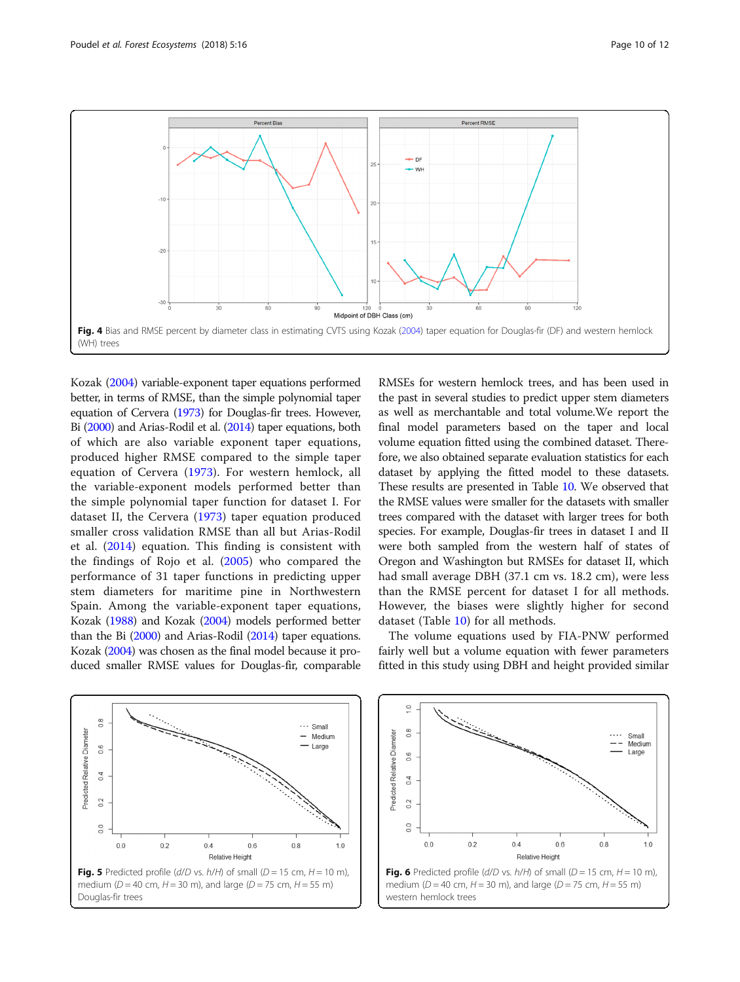<span id="page-9-0"></span>

Kozak [\(2004\)](#page-11-0) variable-exponent taper equations performed better, in terms of RMSE, than the simple polynomial taper equation of Cervera ([1973](#page-11-0)) for Douglas-fir trees. However, Bi [\(2000](#page-11-0)) and Arias-Rodil et al. [\(2014\)](#page-11-0) taper equations, both of which are also variable exponent taper equations, produced higher RMSE compared to the simple taper equation of Cervera ([1973](#page-11-0)). For western hemlock, all the variable-exponent models performed better than the simple polynomial taper function for dataset I. For dataset II, the Cervera ([1973](#page-11-0)) taper equation produced smaller cross validation RMSE than all but Arias-Rodil et al. [\(2014](#page-11-0)) equation. This finding is consistent with the findings of Rojo et al. [\(2005](#page-11-0)) who compared the performance of 31 taper functions in predicting upper stem diameters for maritime pine in Northwestern Spain. Among the variable-exponent taper equations, Kozak [\(1988](#page-11-0)) and Kozak [\(2004\)](#page-11-0) models performed better than the Bi [\(2000\)](#page-11-0) and Arias-Rodil ([2014\)](#page-11-0) taper equations. Kozak [\(2004](#page-11-0)) was chosen as the final model because it produced smaller RMSE values for Douglas-fir, comparable RMSEs for western hemlock trees, and has been used in the past in several studies to predict upper stem diameters as well as merchantable and total volume.We report the final model parameters based on the taper and local volume equation fitted using the combined dataset. Therefore, we also obtained separate evaluation statistics for each dataset by applying the fitted model to these datasets. These results are presented in Table [10](#page-10-0). We observed that the RMSE values were smaller for the datasets with smaller trees compared with the dataset with larger trees for both species. For example, Douglas-fir trees in dataset I and II were both sampled from the western half of states of Oregon and Washington but RMSEs for dataset II, which had small average DBH (37.1 cm vs. 18.2 cm), were less than the RMSE percent for dataset I for all methods. However, the biases were slightly higher for second dataset (Table [10\)](#page-10-0) for all methods.

The volume equations used by FIA-PNW performed fairly well but a volume equation with fewer parameters fitted in this study using DBH and height provided similar



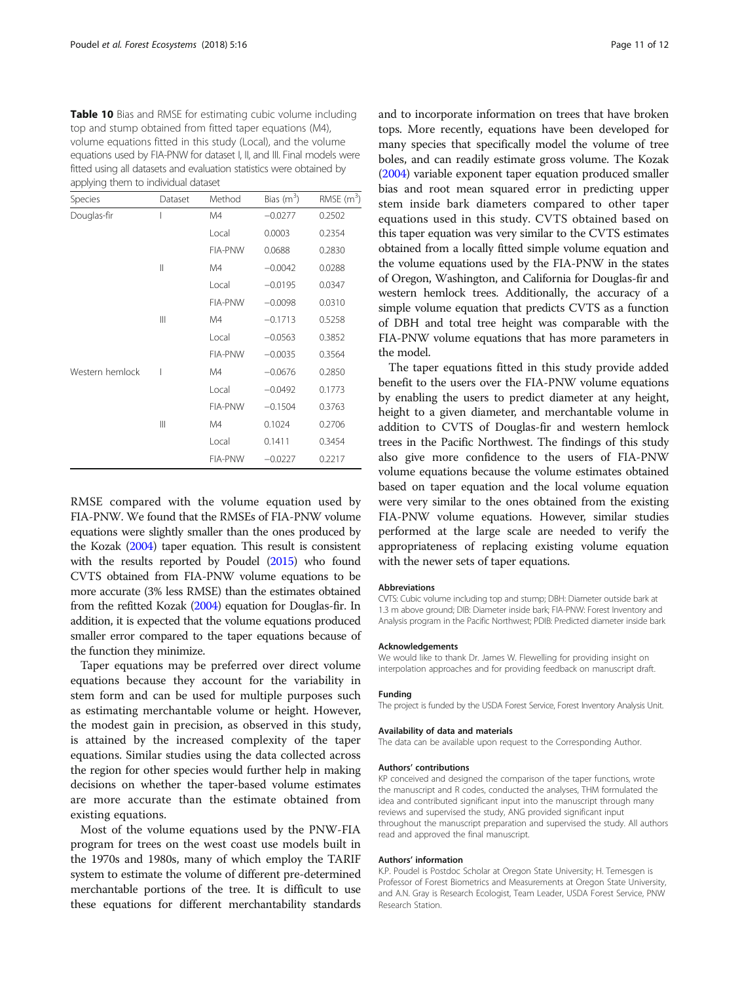<span id="page-10-0"></span>Table 10 Bias and RMSE for estimating cubic volume including top and stump obtained from fitted taper equations (M4), volume equations fitted in this study (Local), and the volume equations used by FIA-PNW for dataset I, II, and III. Final models were fitted using all datasets and evaluation statistics were obtained by applying them to individual dataset

| Species         | Dataset                           | Method         | Bias $(m^3)$ | RMSE $(m^3)$ |
|-----------------|-----------------------------------|----------------|--------------|--------------|
| Douglas-fir     | I                                 | M4             | $-0.0277$    | 0.2502       |
|                 |                                   | Local          | 0.0003       | 0.2354       |
|                 |                                   | <b>FIA-PNW</b> | 0.0688       | 0.2830       |
|                 | $\mathsf{II}$                     | M4             | $-0.0042$    | 0.0288       |
|                 |                                   | Local          | $-0.0195$    | 0.0347       |
|                 |                                   | <b>FIA-PNW</b> | $-0.0098$    | 0.0310       |
|                 | $\begin{array}{c}    \end{array}$ | M4             | $-0.1713$    | 0.5258       |
|                 |                                   | Local          | $-0.0563$    | 0.3852       |
|                 |                                   | <b>FIA-PNW</b> | $-0.0035$    | 0.3564       |
| Western hemlock | I                                 | M4             | $-0.0676$    | 0.2850       |
|                 |                                   | Local          | $-0.0492$    | 0.1773       |
|                 |                                   | <b>FIA-PNW</b> | $-0.1504$    | 0.3763       |
|                 | Ш                                 | M4             | 0.1024       | 0.2706       |
|                 |                                   | Local          | 0.1411       | 0.3454       |
|                 |                                   | <b>FIA-PNW</b> | $-0.0227$    | 0.2217       |

RMSE compared with the volume equation used by FIA-PNW. We found that the RMSEs of FIA-PNW volume equations were slightly smaller than the ones produced by the Kozak [\(2004](#page-11-0)) taper equation. This result is consistent with the results reported by Poudel ([2015\)](#page-11-0) who found CVTS obtained from FIA-PNW volume equations to be more accurate (3% less RMSE) than the estimates obtained from the refitted Kozak [\(2004](#page-11-0)) equation for Douglas-fir. In addition, it is expected that the volume equations produced smaller error compared to the taper equations because of the function they minimize.

Taper equations may be preferred over direct volume equations because they account for the variability in stem form and can be used for multiple purposes such as estimating merchantable volume or height. However, the modest gain in precision, as observed in this study, is attained by the increased complexity of the taper equations. Similar studies using the data collected across the region for other species would further help in making decisions on whether the taper-based volume estimates are more accurate than the estimate obtained from existing equations.

Most of the volume equations used by the PNW-FIA program for trees on the west coast use models built in the 1970s and 1980s, many of which employ the TARIF system to estimate the volume of different pre-determined merchantable portions of the tree. It is difficult to use these equations for different merchantability standards

and to incorporate information on trees that have broken tops. More recently, equations have been developed for many species that specifically model the volume of tree boles, and can readily estimate gross volume. The Kozak ([2004](#page-11-0)) variable exponent taper equation produced smaller bias and root mean squared error in predicting upper stem inside bark diameters compared to other taper equations used in this study. CVTS obtained based on this taper equation was very similar to the CVTS estimates obtained from a locally fitted simple volume equation and the volume equations used by the FIA-PNW in the states of Oregon, Washington, and California for Douglas-fir and western hemlock trees. Additionally, the accuracy of a simple volume equation that predicts CVTS as a function of DBH and total tree height was comparable with the FIA-PNW volume equations that has more parameters in the model.

The taper equations fitted in this study provide added benefit to the users over the FIA-PNW volume equations by enabling the users to predict diameter at any height, height to a given diameter, and merchantable volume in addition to CVTS of Douglas-fir and western hemlock trees in the Pacific Northwest. The findings of this study also give more confidence to the users of FIA-PNW volume equations because the volume estimates obtained based on taper equation and the local volume equation were very similar to the ones obtained from the existing FIA-PNW volume equations. However, similar studies performed at the large scale are needed to verify the appropriateness of replacing existing volume equation with the newer sets of taper equations.

#### Abbreviations

CVTS: Cubic volume including top and stump; DBH: Diameter outside bark at 1.3 m above ground; DIB: Diameter inside bark; FIA-PNW: Forest Inventory and Analysis program in the Pacific Northwest; PDIB: Predicted diameter inside bark

#### Acknowledgements

We would like to thank Dr. James W. Flewelling for providing insight on interpolation approaches and for providing feedback on manuscript draft.

#### Funding

The project is funded by the USDA Forest Service, Forest Inventory Analysis Unit.

#### Availability of data and materials

The data can be available upon request to the Corresponding Author.

#### Authors' contributions

KP conceived and designed the comparison of the taper functions, wrote the manuscript and R codes, conducted the analyses, THM formulated the idea and contributed significant input into the manuscript through many reviews and supervised the study, ANG provided significant input throughout the manuscript preparation and supervised the study. All authors read and approved the final manuscript.

#### Authors' information

K.P. Poudel is Postdoc Scholar at Oregon State University; H. Temesgen is Professor of Forest Biometrics and Measurements at Oregon State University, and A.N. Gray is Research Ecologist, Team Leader, USDA Forest Service, PNW Research Station.